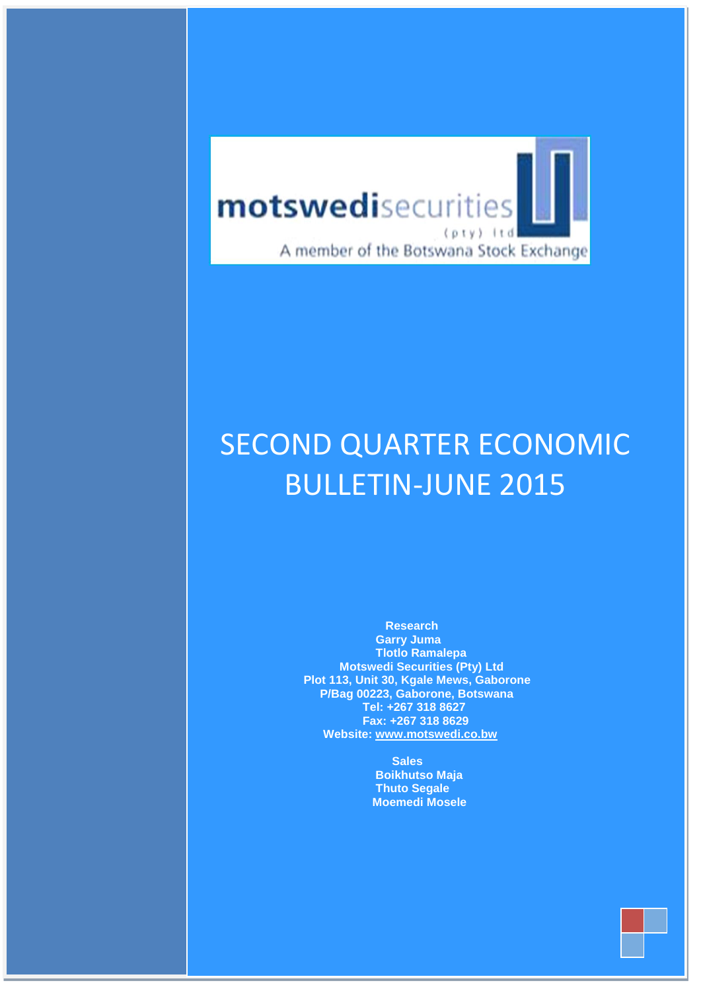

 **July– Sep 2011**

# **MOTED** CA **Ltd Plot 113, Unit 30, Kgale Mews Gaborone** BULLETIN-JUNE 2015 SECOND QUARTER ECONOMIC

 **Research Garry Juma Tlotlo Ramalepa Motswedi Securities (Pty) Ltd Plot 113, Unit 30, Kgale Mews, Gaborone P/Bag 00223, Gaborone, Botswana Tel: +267 318 8627 Fax: +267 318 8629 Website: [www.motswedi.co.bw](http://www.motswedi.co.bw/)**

> **Sales Boikhutso Maja Thuto Segale [Moemedi Mosele](mailto:chibo@motswedi.co.bw)**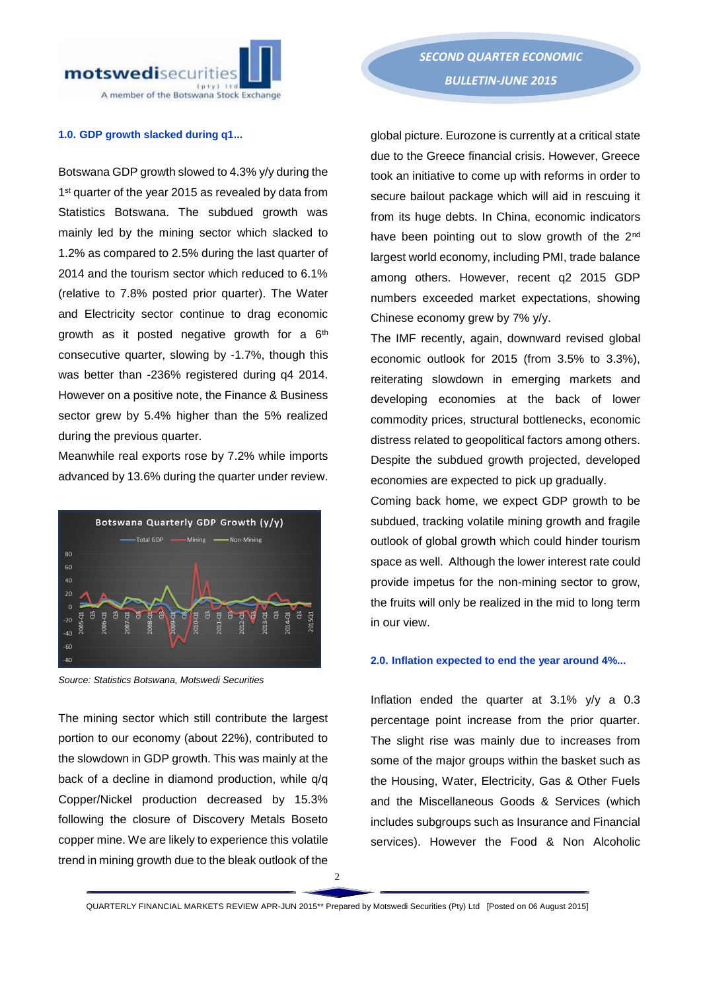

#### **1.0. GDP growth slacked during q1...**

Botswana GDP growth slowed to 4.3% y/y during the 1 st quarter of the year 2015 as revealed by data from Statistics Botswana. The subdued growth was mainly led by the mining sector which slacked to 1.2% as compared to 2.5% during the last quarter of 2014 and the tourism sector which reduced to 6.1% (relative to 7.8% posted prior quarter). The Water and Electricity sector continue to drag economic growth as it posted negative growth for a 6<sup>th</sup> consecutive quarter, slowing by -1.7%, though this was better than -236% registered during q4 2014. However on a positive note, the Finance & Business sector grew by 5.4% higher than the 5% realized during the previous quarter.

Meanwhile real exports rose by 7.2% while imports advanced by 13.6% during the quarter under review.



*Source: Statistics Botswana, Motswedi Securities* 

The mining sector which still contribute the largest portion to our economy (about 22%), contributed to the slowdown in GDP growth. This was mainly at the back of a decline in diamond production, while q/q Copper/Nickel production decreased by 15.3% following the closure of Discovery Metals Boseto copper mine. We are likely to experience this volatile trend in mining growth due to the bleak outlook of the

global picture. Eurozone is currently at a critical state due to the Greece financial crisis. However, Greece took an initiative to come up with reforms in order to secure bailout package which will aid in rescuing it from its huge debts. In China, economic indicators have been pointing out to slow growth of the 2<sup>nd</sup> largest world economy, including PMI, trade balance among others. However, recent q2 2015 GDP numbers exceeded market expectations, showing Chinese economy grew by 7% y/y.

The IMF recently, again, downward revised global economic outlook for 2015 (from 3.5% to 3.3%), reiterating slowdown in emerging markets and developing economies at the back of lower commodity prices, structural bottlenecks, economic distress related to geopolitical factors among others. Despite the subdued growth projected, developed economies are expected to pick up gradually.

Coming back home, we expect GDP growth to be subdued, tracking volatile mining growth and fragile outlook of global growth which could hinder tourism space as well. Although the lower interest rate could provide impetus for the non-mining sector to grow, the fruits will only be realized in the mid to long term in our view.

#### **2.0. Inflation expected to end the year around 4%...**

Inflation ended the quarter at 3.1% y/y a 0.3 percentage point increase from the prior quarter. The slight rise was mainly due to increases from some of the major groups within the basket such as the Housing, Water, Electricity, Gas & Other Fuels and the Miscellaneous Goods & Services (which includes subgroups such as Insurance and Financial services). However the Food & Non Alcoholic

QUARTERLY FINANCIAL MARKETS REVIEW APR-JUN 2015\*\* Prepared by Motswedi Securities (Pty) Ltd [Posted on 06 August 2015]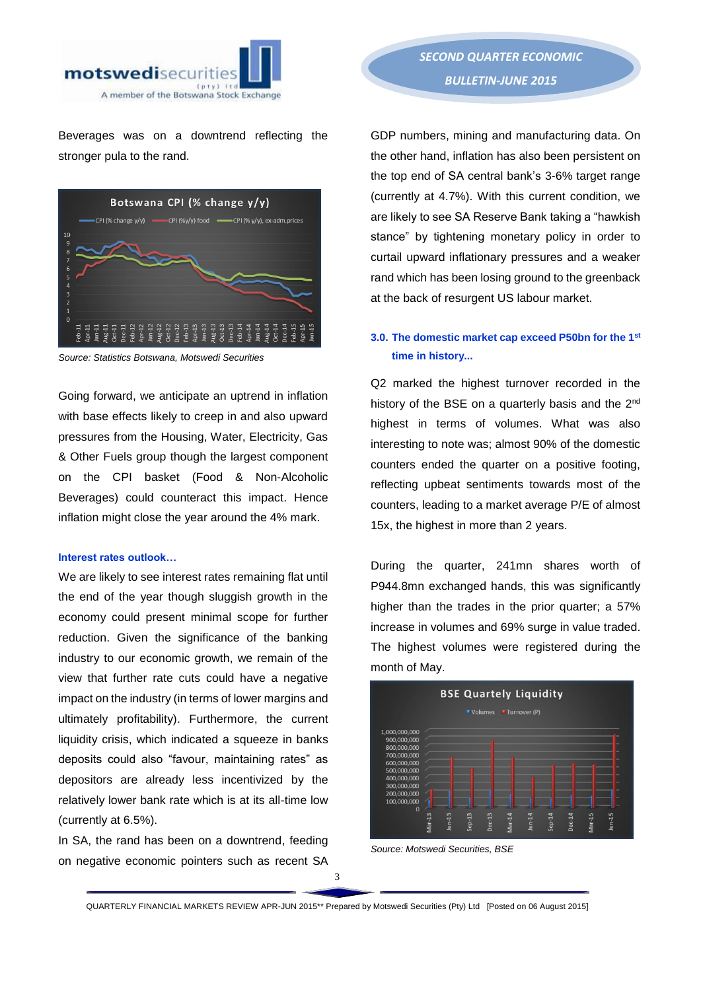

Beverages was on a downtrend reflecting the stronger pula to the rand.



*Source: Statistics Botswana, Motswedi Securities*

Going forward, we anticipate an uptrend in inflation with base effects likely to creep in and also upward pressures from the Housing, Water, Electricity, Gas & Other Fuels group though the largest component on the CPI basket (Food & Non-Alcoholic Beverages) could counteract this impact. Hence inflation might close the year around the 4% mark.

#### **Interest rates outlook…**

We are likely to see interest rates remaining flat until the end of the year though sluggish growth in the economy could present minimal scope for further reduction. Given the significance of the banking industry to our economic growth, we remain of the view that further rate cuts could have a negative impact on the industry (in terms of lower margins and ultimately profitability). Furthermore, the current liquidity crisis, which indicated a squeeze in banks deposits could also "favour, maintaining rates" as depositors are already less incentivized by the relatively lower bank rate which is at its all-time low (currently at 6.5%).

In SA, the rand has been on a downtrend, feeding on negative economic pointers such as recent SA

*SECOND QUARTER ECONOMIC BULLETIN-JUNE 2015* 

GDP numbers, mining and manufacturing data. On the other hand, inflation has also been persistent on the top end of SA central bank's 3-6% target range (currently at 4.7%). With this current condition, we are likely to see SA Reserve Bank taking a "hawkish stance" by tightening monetary policy in order to curtail upward inflationary pressures and a weaker rand which has been losing ground to the greenback at the back of resurgent US labour market.

# **3.0. The domestic market cap exceed P50bn for the 1st time in history...**

Q2 marked the highest turnover recorded in the history of the BSE on a quarterly basis and the 2<sup>nd</sup> highest in terms of volumes. What was also interesting to note was; almost 90% of the domestic counters ended the quarter on a positive footing, reflecting upbeat sentiments towards most of the counters, leading to a market average P/E of almost 15x, the highest in more than 2 years.

During the quarter, 241mn shares worth of P944.8mn exchanged hands, this was significantly higher than the trades in the prior quarter; a 57% increase in volumes and 69% surge in value traded. The highest volumes were registered during the month of May.



*Source: Motswedi Securities, BSE*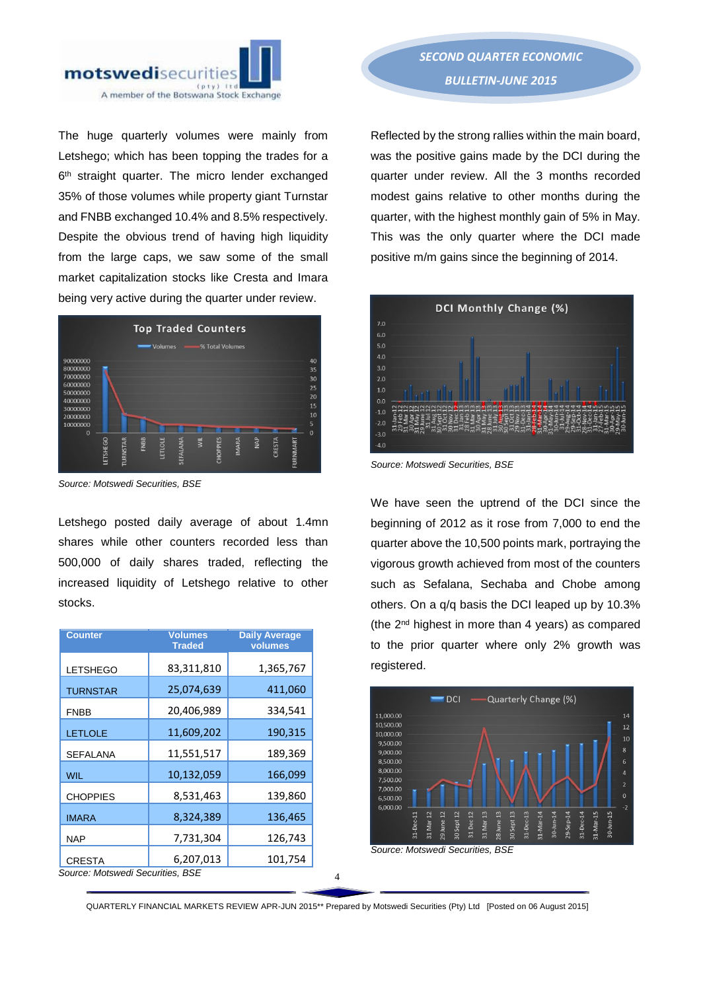

The huge quarterly volumes were mainly from Letshego; which has been topping the trades for a 6 th straight quarter. The micro lender exchanged 35% of those volumes while property giant Turnstar and FNBB exchanged 10.4% and 8.5% respectively. Despite the obvious trend of having high liquidity from the large caps, we saw some of the small market capitalization stocks like Cresta and Imara being very active during the quarter under review.



*Source: Motswedi Securities, BSE* 

Letshego posted daily average of about 1.4mn shares while other counters recorded less than 500,000 of daily shares traded, reflecting the increased liquidity of Letshego relative to other stocks.

| <b>Counter</b>                   | <b>Volumes</b><br><b>Traded</b> | <b>Daily Average</b><br>volumes |  |  |
|----------------------------------|---------------------------------|---------------------------------|--|--|
| <b>LETSHEGO</b>                  | 83,311,810                      | 1,365,767                       |  |  |
| <b>TURNSTAR</b>                  | 25,074,639                      | 411,060                         |  |  |
| <b>FNBB</b>                      | 20,406,989                      | 334,541                         |  |  |
| <b>LETLOLE</b>                   | 11,609,202                      | 190,315                         |  |  |
| <b>SEFALANA</b>                  | 11,551,517                      | 189,369                         |  |  |
| <b>WIL</b>                       | 10,132,059                      | 166,099                         |  |  |
| <b>CHOPPIES</b>                  | 8,531,463                       | 139,860                         |  |  |
| <b>IMARA</b>                     | 8,324,389                       | 136,465                         |  |  |
| <b>NAP</b>                       | 7,731,304                       | 126,743                         |  |  |
| <b>CRESTA</b>                    | 6,207,013                       | 101,754                         |  |  |
| Source: Motswedi Securities, BSE |                                 |                                 |  |  |

Reflected by the strong rallies within the main board, was the positive gains made by the DCI during the quarter under review. All the 3 months recorded modest gains relative to other months during the quarter, with the highest monthly gain of 5% in May. This was the only quarter where the DCI made positive m/m gains since the beginning of 2014.



*Source: Motswedi Securities, BSE* 

We have seen the uptrend of the DCI since the beginning of 2012 as it rose from 7,000 to end the quarter above the 10,500 points mark, portraying the vigorous growth achieved from most of the counters such as Sefalana, Sechaba and Chobe among others. On a q/q basis the DCI leaped up by 10.3% (the 2nd highest in more than 4 years) as compared to the prior quarter where only 2% growth was registered.



QUARTERLY FINANCIAL MARKETS REVIEW APR-JUN 2015\*\* Prepared by Motswedi Securities (Pty) Ltd [Posted on 06 August 2015]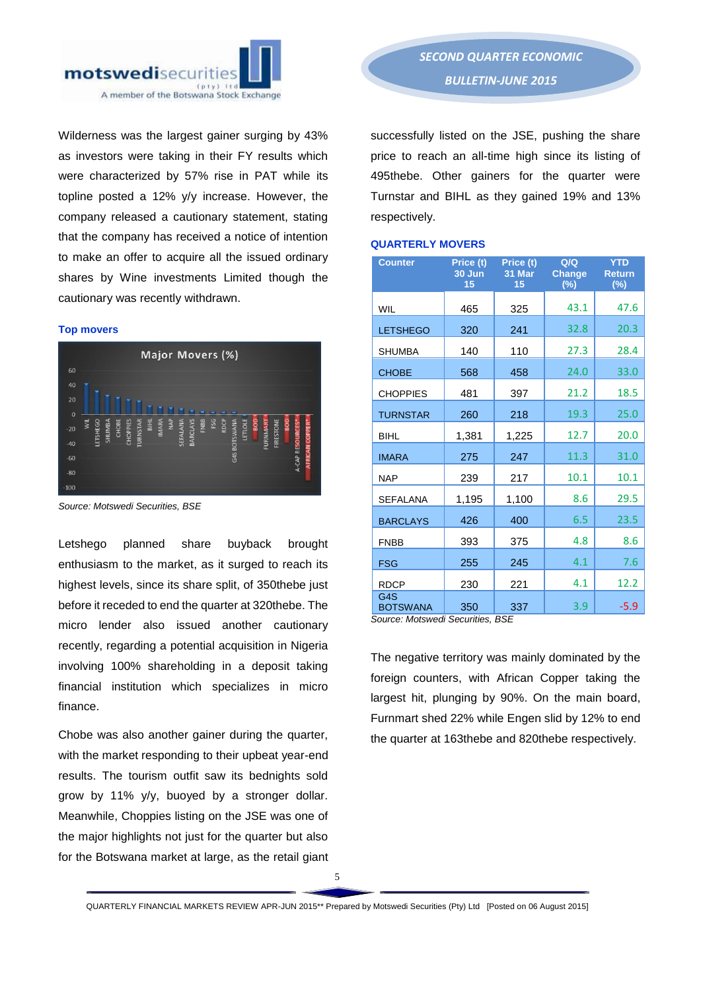

Wilderness was the largest gainer surging by 43% as investors were taking in their FY results which were characterized by 57% rise in PAT while its topline posted a 12% y/y increase. However, the company released a cautionary statement, stating that the company has received a notice of intention to make an offer to acquire all the issued ordinary shares by Wine investments Limited though the cautionary was recently withdrawn.

#### **Top movers**



*Source: Motswedi Securities, BSE*

Letshego planned share buyback brought enthusiasm to the market, as it surged to reach its highest levels, since its share split, of 350thebe just before it receded to end the quarter at 320thebe. The micro lender also issued another cautionary recently, regarding a potential acquisition in Nigeria involving 100% shareholding in a deposit taking financial institution which specializes in micro finance.

Chobe was also another gainer during the quarter, with the market responding to their upbeat year-end results. The tourism outfit saw its bednights sold grow by 11% y/y, buoyed by a stronger dollar. Meanwhile, Choppies listing on the JSE was one of the major highlights not just for the quarter but also for the Botswana market at large, as the retail giant

successfully listed on the JSE, pushing the share price to reach an all-time high since its listing of 495thebe. Other gainers for the quarter were Turnstar and BIHL as they gained 19% and 13% respectively.

## **QUARTERLY MOVERS**

| <b>Counter</b>                      | Price (t)<br>30 Jun<br>15 | Price (t)<br>31 Mar<br>15 | Q/Q<br><b>Change</b><br>$(\%)$ | <b>YTD</b><br><b>Return</b><br>(%) |
|-------------------------------------|---------------------------|---------------------------|--------------------------------|------------------------------------|
| <b>WIL</b>                          | 465                       | 325                       | 43.1                           | 47.6                               |
| <b>LETSHEGO</b>                     | 320                       | 241                       | 32.8                           | 20.3                               |
| <b>SHUMBA</b>                       | 140                       | 110                       | 27.3                           | 28.4                               |
| <b>CHOBE</b>                        | 568                       | 458                       | 24.0                           | 33.0                               |
| <b>CHOPPIES</b>                     | 481                       | 397                       | 21.2                           | 18.5                               |
| <b>TURNSTAR</b>                     | 260                       | 218                       | 19.3                           | 25.0                               |
| <b>BIHL</b>                         | 1,381                     | 1,225                     | 12.7                           | 20.0                               |
| <b>IMARA</b>                        | 275                       | 247                       | 11.3                           | 31.0                               |
| <b>NAP</b>                          | 239                       | 217                       | 10.1                           | 10.1                               |
| <b>SEFALANA</b>                     | 1,195                     | 1,100                     | 8.6                            | 29.5                               |
| <b>BARCLAYS</b>                     | 426                       | 400                       | 6.5                            | 23.5                               |
| <b>FNBB</b>                         | 393                       | 375                       | 4.8                            | 8.6                                |
| <b>FSG</b>                          | 255                       | 245                       | 4.1                            | 7.6                                |
| <b>RDCP</b>                         | 230                       | 221                       | 4.1                            | 12.2                               |
| G <sub>4</sub> S<br><b>BOTSWANA</b> | 350                       | 337                       | 3.9                            | $-5.9$                             |

*Source: Motswedi Securities, BSE*

The negative territory was mainly dominated by the foreign counters, with African Copper taking the largest hit, plunging by 90%. On the main board, Furnmart shed 22% while Engen slid by 12% to end the quarter at 163thebe and 820thebe respectively.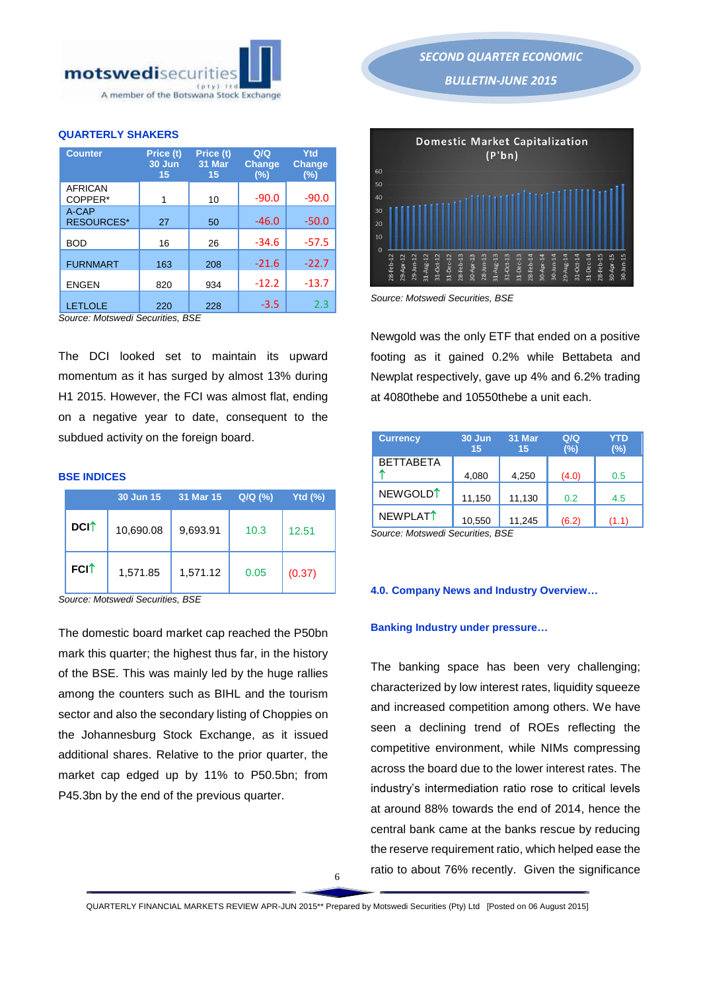

# **QUARTERLY SHAKERS**

| <b>Counter</b>             | Price (t)<br>30 Jun<br>15 | Price (t)<br>31 Mar<br>15 | Q/Q<br><b>Change</b><br>(%) | Ytd<br><b>Change</b><br>$(\%)$ |
|----------------------------|---------------------------|---------------------------|-----------------------------|--------------------------------|
| <b>AFRICAN</b><br>COPPER*  | 1                         | 10                        | $-90.0$                     | $-90.0$                        |
| A-CAP<br><b>RESOURCES*</b> | 27                        | 50                        | $-46.0$                     | $-50.0$                        |
| <b>BOD</b>                 | 16                        | 26                        | $-34.6$                     | $-57.5$                        |
| <b>FURNMART</b>            | 163                       | 208                       | $-21.6$                     | $-22.7$                        |
| <b>ENGEN</b>               | 820                       | 934                       | $-12.2$                     | $-13.7$                        |
| <b>LETLOLE</b>             | 220                       | 228                       | $-3.5$                      | フ3                             |

*Source: Motswedi Securities, BSE*

The DCI looked set to maintain its upward momentum as it has surged by almost 13% during H1 2015. However, the FCI was almost flat, ending on a negative year to date, consequent to the subdued activity on the foreign board.

#### **BSE INDICES**

|                         | 30 Jun 15 | 31 Mar 15 | Q/Q (%) | Ytd(T <sub>0</sub> ) |
|-------------------------|-----------|-----------|---------|----------------------|
| <b>DCI</b> <sup>+</sup> | 10,690.08 | 9,693.91  | 10.3    | 12.51                |
| <b>FCI</b> <sup>↑</sup> | 1,571.85  | 1,571.12  | 0.05    | (0.37)               |

*Source: Motswedi Securities, BSE* 

The domestic board market cap reached the P50bn mark this quarter; the highest thus far, in the history of the BSE. This was mainly led by the huge rallies among the counters such as BIHL and the tourism sector and also the secondary listing of Choppies on the Johannesburg Stock Exchange, as it issued additional shares. Relative to the prior quarter, the market cap edged up by 11% to P50.5bn; from P45.3bn by the end of the previous quarter.

*SECOND QUARTER ECONOMIC BULLETIN-JUNE 2015* 



*Source: Motswedi Securities, BSE* 

Newgold was the only ETF that ended on a positive footing as it gained 0.2% while Bettabeta and Newplat respectively, gave up 4% and 6.2% trading at 4080thebe and 10550thebe a unit each.

| <b>Currency</b>      | 30 Jun<br>15 | 31 Mar<br>15 | Q/Q<br>$(\%)$ | YTD<br>$(\%)$ |
|----------------------|--------------|--------------|---------------|---------------|
| <b>BETTABETA</b>     | 4,080        | 4,250        | (4.0)         | 0.5           |
| NEWGOLD <sup>1</sup> | 11,150       | 11,130       | 0.2           | 4.5           |
| NEWPLAT <sup>1</sup> | 10,550       | 11,245       | (6.2)         | (1.1)         |

*Source: Motswedi Securities, BSE* 

## **4.0. Company News and Industry Overview…**

## **Banking Industry under pressure…**

The banking space has been very challenging; characterized by low interest rates, liquidity squeeze and increased competition among others. We have seen a declining trend of ROEs reflecting the competitive environment, while NIMs compressing across the board due to the lower interest rates. The industry's intermediation ratio rose to critical levels at around 88% towards the end of 2014, hence the central bank came at the banks rescue by reducing the reserve requirement ratio, which helped ease the ratio to about 76% recently. Given the significance

6

QUARTERLY FINANCIAL MARKETS REVIEW APR-JUN 2015\*\* Prepared by Motswedi Securities (Pty) Ltd [Posted on 06 August 2015]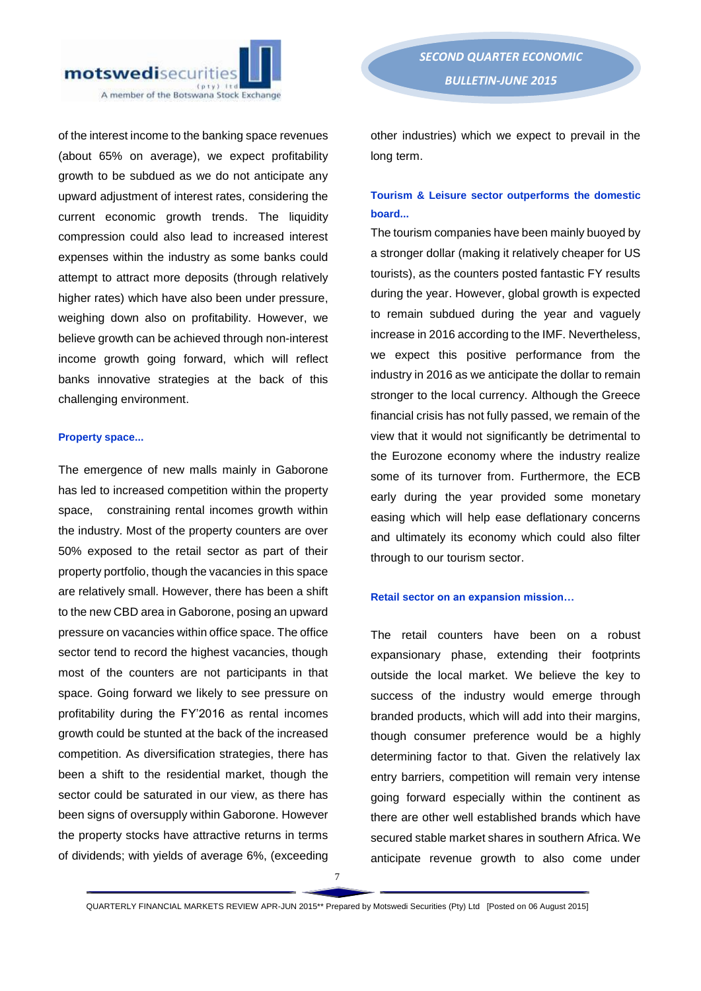of the interest income to the banking space revenues (about 65% on average), we expect profitability growth to be subdued as we do not anticipate any upward adjustment of interest rates, considering the current economic growth trends. The liquidity compression could also lead to increased interest expenses within the industry as some banks could attempt to attract more deposits (through relatively higher rates) which have also been under pressure, weighing down also on profitability. However, we believe growth can be achieved through non-interest income growth going forward, which will reflect banks innovative strategies at the back of this challenging environment.

## **Property space...**

The emergence of new malls mainly in Gaborone has led to increased competition within the property space, constraining rental incomes growth within the industry. Most of the property counters are over 50% exposed to the retail sector as part of their property portfolio, though the vacancies in this space are relatively small. However, there has been a shift to the new CBD area in Gaborone, posing an upward pressure on vacancies within office space. The office sector tend to record the highest vacancies, though most of the counters are not participants in that space. Going forward we likely to see pressure on profitability during the FY'2016 as rental incomes growth could be stunted at the back of the increased competition. As diversification strategies, there has been a shift to the residential market, though the sector could be saturated in our view, as there has been signs of oversupply within Gaborone. However the property stocks have attractive returns in terms of dividends; with yields of average 6%, (exceeding

other industries) which we expect to prevail in the long term.

# **Tourism & Leisure sector outperforms the domestic board...**

The tourism companies have been mainly buoyed by a stronger dollar (making it relatively cheaper for US tourists), as the counters posted fantastic FY results during the year. However, global growth is expected to remain subdued during the year and vaguely increase in 2016 according to the IMF. Nevertheless, we expect this positive performance from the industry in 2016 as we anticipate the dollar to remain stronger to the local currency. Although the Greece financial crisis has not fully passed, we remain of the view that it would not significantly be detrimental to the Eurozone economy where the industry realize some of its turnover from. Furthermore, the ECB early during the year provided some monetary easing which will help ease deflationary concerns and ultimately its economy which could also filter through to our tourism sector.

## **Retail sector on an expansion mission…**

The retail counters have been on a robust expansionary phase, extending their footprints outside the local market. We believe the key to success of the industry would emerge through branded products, which will add into their margins, though consumer preference would be a highly determining factor to that. Given the relatively lax entry barriers, competition will remain very intense going forward especially within the continent as there are other well established brands which have secured stable market shares in southern Africa. We anticipate revenue growth to also come under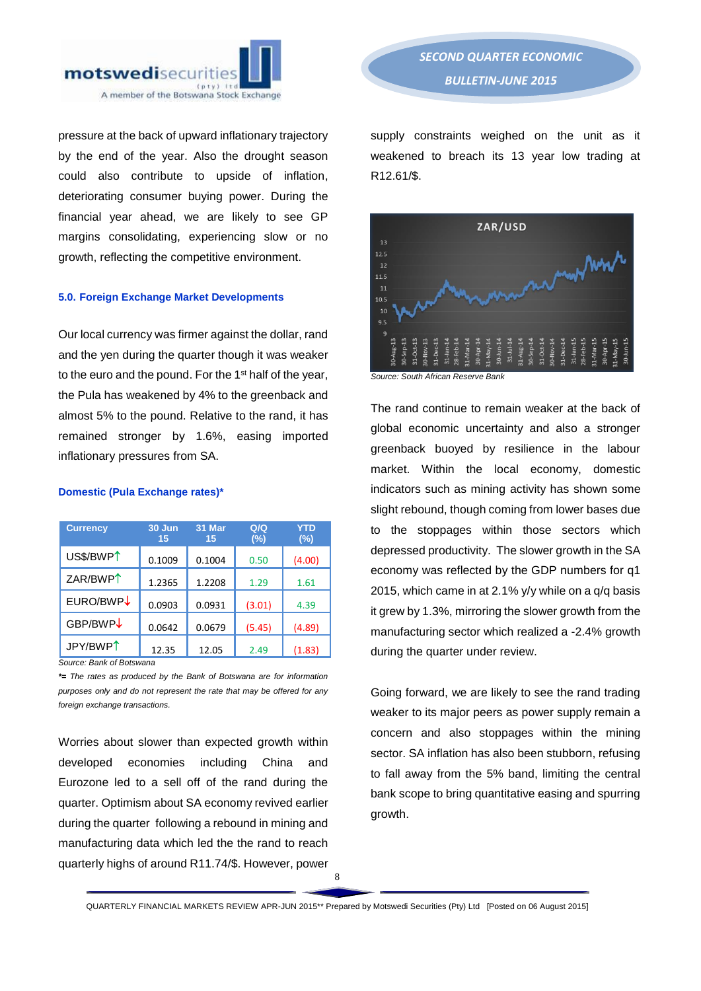

pressure at the back of upward inflationary trajectory by the end of the year. Also the drought season could also contribute to upside of inflation, deteriorating consumer buying power. During the financial year ahead, we are likely to see GP margins consolidating, experiencing slow or no growth, reflecting the competitive environment.

#### **5.0. Foreign Exchange Market Developments**

Our local currency was firmer against the dollar, rand and the yen during the quarter though it was weaker to the euro and the pound. For the 1<sup>st</sup> half of the year, the Pula has weakened by 4% to the greenback and almost 5% to the pound. Relative to the rand, it has remained stronger by 1.6%, easing imported inflationary pressures from SA.

| <b>Currency</b>       | 30 Jun<br>15 | 31 Mar<br>15 | Q/Q<br>(%) | <b>YTD</b><br>$(\%)$ |
|-----------------------|--------------|--------------|------------|----------------------|
| US\$/BWP <sup>1</sup> | 0.1009       | 0.1004       | 0.50       | (4.00)               |
| ZAR/BWP <sup>1</sup>  | 1.2365       | 1.2208       | 1.29       | 1.61                 |
| EURO/BWP↓             | 0.0903       | 0.0931       | (3.01)     | 4.39                 |
| GBP/BWP↓              | 0.0642       | 0.0679       | (5.45)     | (4.89)               |
| JPY/BWP <sup>1</sup>  | 12.35        | 12.05        | 2.49       | (1.83)               |

#### **Domestic (Pula Exchange rates)\***

*\*= The rates as produced by the Bank of Botswana are for information purposes only and do not represent the rate that may be offered for any foreign exchange transactions.*

Worries about slower than expected growth within developed economies including China and Eurozone led to a sell off of the rand during the quarter. Optimism about SA economy revived earlier during the quarter following a rebound in mining and manufacturing data which led the the rand to reach quarterly highs of around R11.74/\$. However, power

supply constraints weighed on the unit as it weakened to breach its 13 year low trading at R12.61/\$.



The rand continue to remain weaker at the back of

global economic uncertainty and also a stronger greenback buoyed by resilience in the labour market. Within the local economy, domestic indicators such as mining activity has shown some slight rebound, though coming from lower bases due to the stoppages within those sectors which depressed productivity. The slower growth in the SA economy was reflected by the GDP numbers for q1 2015, which came in at 2.1% y/y while on a q/q basis it grew by 1.3%, mirroring the slower growth from the manufacturing sector which realized a -2.4% growth during the quarter under review.

Going forward, we are likely to see the rand trading weaker to its major peers as power supply remain a concern and also stoppages within the mining sector. SA inflation has also been stubborn, refusing to fall away from the 5% band, limiting the central bank scope to bring quantitative easing and spurring growth.

QUARTERLY FINANCIAL MARKETS REVIEW APR-JUN 2015\*\* Prepared by Motswedi Securities (Pty) Ltd [Posted on 06 August 2015]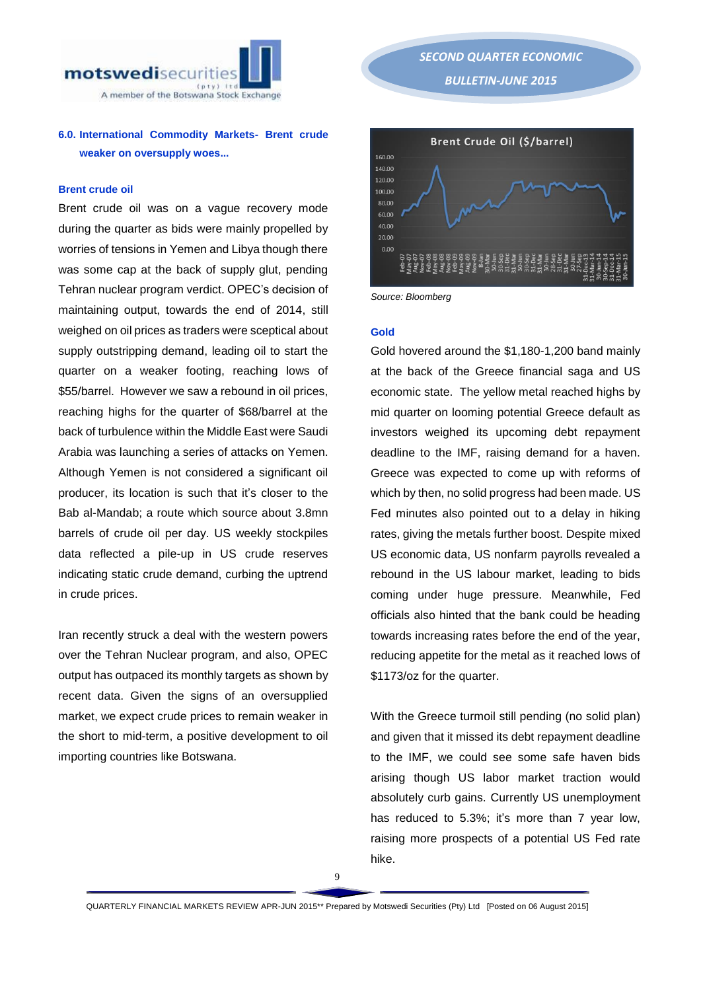

# **6.0. International Commodity Markets- Brent crude weaker on oversupply woes...**

## **Brent crude oil**

Brent crude oil was on a vague recovery mode during the quarter as bids were mainly propelled by worries of tensions in Yemen and Libya though there was some cap at the back of supply glut, pending Tehran nuclear program verdict. OPEC's decision of maintaining output, towards the end of 2014, still weighed on oil prices as traders were sceptical about supply outstripping demand, leading oil to start the quarter on a weaker footing, reaching lows of \$55/barrel. However we saw a rebound in oil prices, reaching highs for the quarter of \$68/barrel at the back of turbulence within the Middle East were Saudi Arabia was launching a series of attacks on Yemen. Although Yemen is not considered a significant oil producer, its location is such that it's closer to the Bab al-Mandab; a route which source about 3.8mn barrels of crude oil per day. US weekly stockpiles data reflected a pile-up in US crude reserves indicating static crude demand, curbing the uptrend in crude prices.

Iran recently struck a deal with the western powers over the Tehran Nuclear program, and also, OPEC output has outpaced its monthly targets as shown by recent data. Given the signs of an oversupplied market, we expect crude prices to remain weaker in the short to mid-term, a positive development to oil importing countries like Botswana.

*SECOND QUARTER ECONOMIC BULLETIN-JUNE 2015*  Brent Crude Oil (\$/barrel) 160.00 140.00 120.00 100.00 80.00



*Source: Bloomberg*

### **Gold**

Gold hovered around the \$1,180-1,200 band mainly at the back of the Greece financial saga and US economic state. The yellow metal reached highs by mid quarter on looming potential Greece default as investors weighed its upcoming debt repayment deadline to the IMF, raising demand for a haven. Greece was expected to come up with reforms of which by then, no solid progress had been made. US Fed minutes also pointed out to a delay in hiking rates, giving the metals further boost. Despite mixed US economic data, US nonfarm payrolls revealed a rebound in the US labour market, leading to bids coming under huge pressure. Meanwhile, Fed officials also hinted that the bank could be heading towards increasing rates before the end of the year, reducing appetite for the metal as it reached lows of \$1173/oz for the quarter.

With the Greece turmoil still pending (no solid plan) and given that it missed its debt repayment deadline to the IMF, we could see some safe haven bids arising though US labor market traction would absolutely curb gains. Currently US unemployment has reduced to 5.3%; it's more than 7 year low, raising more prospects of a potential US Fed rate hike.